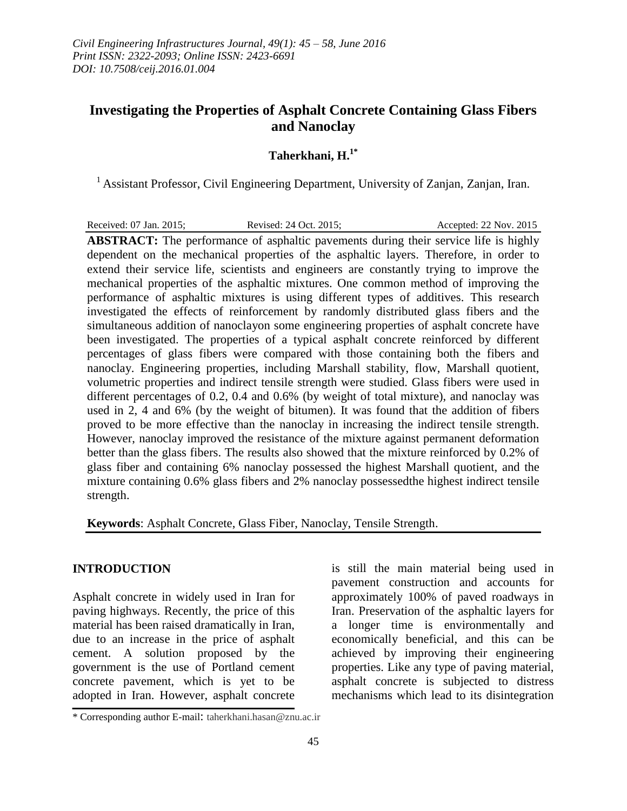# **Investigating the Properties of Asphalt Concrete Containing Glass Fibers and Nanoclay**

## **Taherkhani, H. 1\***

<sup>1</sup> Assistant Professor, Civil Engineering Department, University of Zanjan, Zanjan, Iran.

Received: 07 Jan. 2015; Revised: 24 Oct. 2015; Accepted: 22 Nov. 2015

**ABSTRACT:** The performance of asphaltic pavements during their service life is highly dependent on the mechanical properties of the asphaltic layers. Therefore, in order to extend their service life, scientists and engineers are constantly trying to improve the mechanical properties of the asphaltic mixtures. One common method of improving the performance of asphaltic mixtures is using different types of additives. This research investigated the effects of reinforcement by randomly distributed glass fibers and the simultaneous addition of nanoclayon some engineering properties of asphalt concrete have been investigated. The properties of a typical asphalt concrete reinforced by different percentages of glass fibers were compared with those containing both the fibers and nanoclay. Engineering properties, including Marshall stability, flow, Marshall quotient, volumetric properties and indirect tensile strength were studied. Glass fibers were used in different percentages of 0.2, 0.4 and 0.6% (by weight of total mixture), and nanoclay was used in 2, 4 and 6% (by the weight of bitumen). It was found that the addition of fibers proved to be more effective than the nanoclay in increasing the indirect tensile strength. However, nanoclay improved the resistance of the mixture against permanent deformation better than the glass fibers. The results also showed that the mixture reinforced by 0.2% of glass fiber and containing 6% nanoclay possessed the highest Marshall quotient, and the mixture containing 0.6% glass fibers and 2% nanoclay possessedthe highest indirect tensile strength.

**Keywords**: Asphalt Concrete, Glass Fiber, Nanoclay, Tensile Strength.

#### **INTRODUCTION**

Asphalt concrete in widely used in Iran for paving highways. Recently, the price of this material has been raised dramatically in Iran, due to an increase in the price of asphalt cement. A solution proposed by the government is the use of Portland cement concrete pavement, which is yet to be adopted in Iran. However, asphalt concrete

is still the main material being used in pavement construction and accounts for approximately 100% of paved roadways in Iran. Preservation of the asphaltic layers for a longer time is environmentally and economically beneficial, and this can be achieved by improving their engineering properties. Like any type of paving material, asphalt concrete is subjected to distress mechanisms which lead to its disintegration

<sup>\*</sup> Corresponding author E-mail: taherkhani.hasan@znu.ac.ir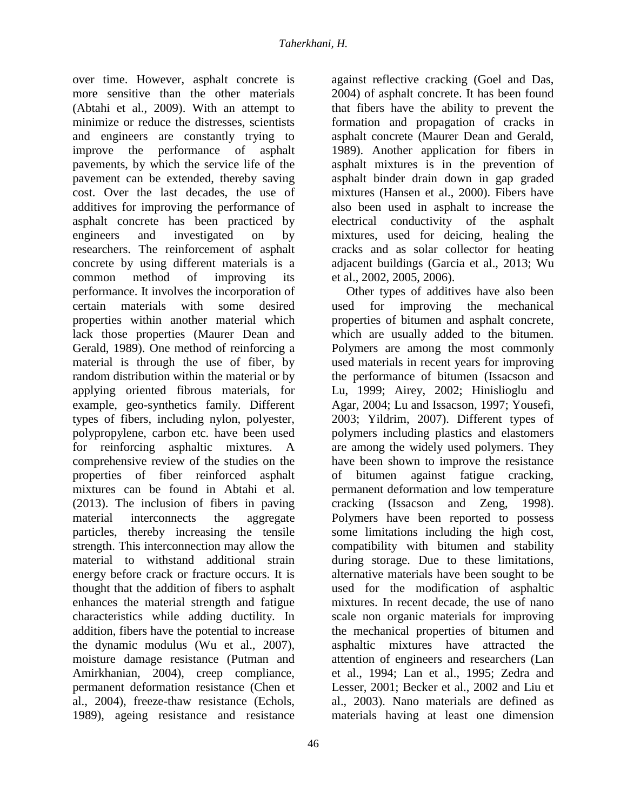over time. However, asphalt concrete is more sensitive than the other materials (Abtahi et al., 2009). With an attempt to minimize or reduce the distresses, scientists and engineers are constantly trying to improve the performance of asphalt pavements, by which the service life of the pavement can be extended, thereby saving cost. Over the last decades, the use of additives for improving the performance of asphalt concrete has been practiced by engineers and investigated on by researchers. The reinforcement of asphalt concrete by using different materials is a common method of improving its performance. It involves the incorporation of certain materials with some desired properties within another material which lack those properties (Maurer Dean and Gerald, 1989). One method of reinforcing a material is through the use of fiber, by random distribution within the material or by applying oriented fibrous materials, for example, geo-synthetics family. Different types of fibers, including nylon, polyester, polypropylene, carbon etc. have been used for reinforcing asphaltic mixtures. A comprehensive review of the studies on the properties of fiber reinforced asphalt mixtures can be found in Abtahi et al. (2013). The inclusion of fibers in paving material interconnects the aggregate particles, thereby increasing the tensile strength. This interconnection may allow the material to withstand additional strain energy before crack or fracture occurs. It is thought that the addition of fibers to asphalt enhances the material strength and fatigue characteristics while adding ductility. In addition, fibers have the potential to increase the dynamic modulus (Wu et al., 2007), moisture damage resistance (Putman and Amirkhanian, 2004), creep compliance, permanent deformation resistance (Chen et al., 2004), freeze-thaw resistance (Echols, 1989), ageing resistance and resistance

against reflective cracking (Goel and Das, 2004) of asphalt concrete. It has been found that fibers have the ability to prevent the formation and propagation of cracks in asphalt concrete (Maurer Dean and Gerald, 1989). Another application for fibers in asphalt mixtures is in the prevention of asphalt binder drain down in gap graded mixtures (Hansen et al., 2000). Fibers have also been used in asphalt to increase the electrical conductivity of the asphalt mixtures, used for deicing, healing the cracks and as solar collector for heating adjacent buildings (Garcia et al., 2013; Wu et al., 2002, 2005, 2006).

Other types of additives have also been used for improving the mechanical properties of bitumen and asphalt concrete, which are usually added to the bitumen. Polymers are among the most commonly used materials in recent years for improving the performance of bitumen (Issacson and Lu, 1999; Airey, 2002; Hinislioglu and Agar, 2004; Lu and Issacson, 1997; Yousefi, 2003; Yildrim, 2007). Different types of polymers including plastics and elastomers are among the widely used polymers. They have been shown to improve the resistance of bitumen against fatigue cracking, permanent deformation and low temperature cracking (Issacson and Zeng, 1998). Polymers have been reported to possess some limitations including the high cost, compatibility with bitumen and stability during storage. Due to these limitations, alternative materials have been sought to be used for the modification of asphaltic mixtures. In recent decade, the use of nano scale non organic materials for improving the mechanical properties of bitumen and asphaltic mixtures have attracted the attention of engineers and researchers (Lan et al., 1994; Lan et al., 1995; Zedra and Lesser, 2001; Becker et al., 2002 and Liu et al., 2003). Nano materials are defined as materials having at least one dimension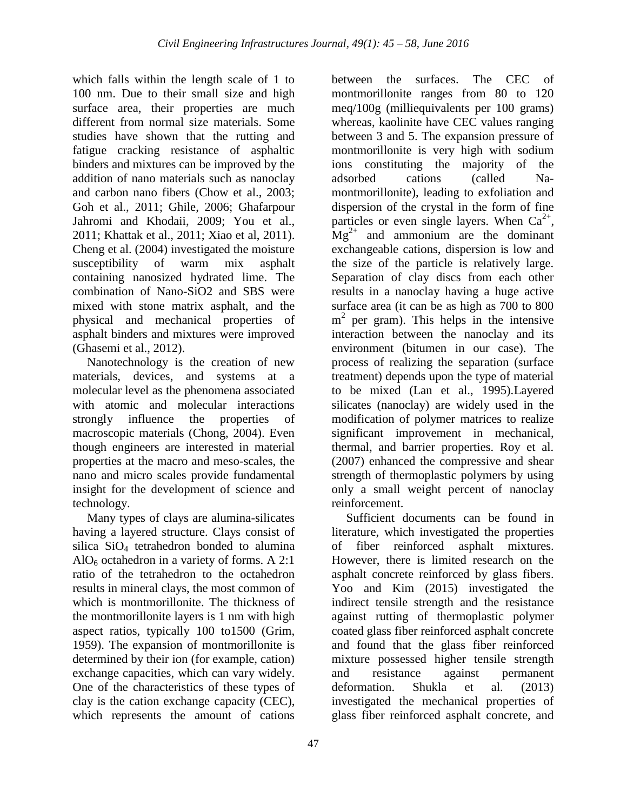which falls within the length scale of 1 to 100 nm. Due to their small size and high surface area, their properties are much different from normal size materials. Some studies have shown that the rutting and fatigue cracking resistance of asphaltic binders and mixtures can be improved by the addition of nano materials such as nanoclay and carbon nano fibers (Chow et al., 2003; Goh et al., 2011; Ghile, 2006; Ghafarpour Jahromi and Khodaii, 2009; You et al., 2011; Khattak et al., 2011; Xiao et al, 2011). Cheng et al. (2004) investigated the moisture susceptibility of warm mix asphalt containing nanosized hydrated lime. The combination of Nano-SiO2 and SBS were mixed with stone matrix asphalt, and the physical and mechanical properties of asphalt binders and mixtures were improved (Ghasemi et al., 2012).

Nanotechnology is the creation of new materials, devices, and systems at a molecular level as the phenomena associated with atomic and molecular interactions strongly influence the properties of macroscopic materials (Chong, 2004). Even though engineers are interested in material properties at the macro and meso-scales, the nano and micro scales provide fundamental insight for the development of science and technology.

Many types of clays are alumina-silicates having a layered structure. Clays consist of silica SiO<sup>4</sup> tetrahedron bonded to alumina  $AlO<sub>6</sub> octahedron in a variety of forms. A 2:1$ ratio of the tetrahedron to the octahedron results in mineral clays, the most common of which is montmorillonite. The thickness of the montmorillonite layers is 1 nm with high aspect ratios, typically 100 to1500 (Grim, 1959). The expansion of montmorillonite is determined by their ion (for example, cation) exchange capacities, which can vary widely. One of the characteristics of these types of clay is the cation exchange capacity (CEC), which represents the amount of cations

montmorillonite ranges from 80 to 120 meq/100g (milliequivalents per 100 grams) whereas, kaolinite have CEC values ranging between 3 and 5. The expansion pressure of montmorillonite is very high with sodium ions constituting the majority of the adsorbed cations (called Namontmorillonite), leading to exfoliation and dispersion of the crystal in the form of fine particles or even single layers. When  $Ca^{2+}$ ,  $Mg^{2+}$  and ammonium are the dominant exchangeable cations, dispersion is low and the size of the particle is relatively large. Separation of clay discs from each other results in a nanoclay having a huge active surface area (it can be as high as 700 to 800 m<sup>2</sup> per gram). This helps in the intensive interaction between the nanoclay and its environment (bitumen in our case). The process of realizing the separation (surface treatment) depends upon the type of material to be mixed (Lan et al., 1995).Layered silicates (nanoclay) are widely used in the modification of polymer matrices to realize significant improvement in mechanical, thermal, and barrier properties. Roy et al. (2007) enhanced the compressive and shear strength of thermoplastic polymers by using only a small weight percent of nanoclay reinforcement.

between the surfaces. The CEC of

Sufficient documents can be found in literature, which investigated the properties of fiber reinforced asphalt mixtures. However, there is limited research on the asphalt concrete reinforced by glass fibers. Yoo and Kim (2015) investigated the indirect tensile strength and the resistance against rutting of thermoplastic polymer coated glass fiber reinforced asphalt concrete and found that the glass fiber reinforced mixture possessed higher tensile strength and resistance against permanent deformation. Shukla et al. (2013) investigated the mechanical properties of glass fiber reinforced asphalt concrete, and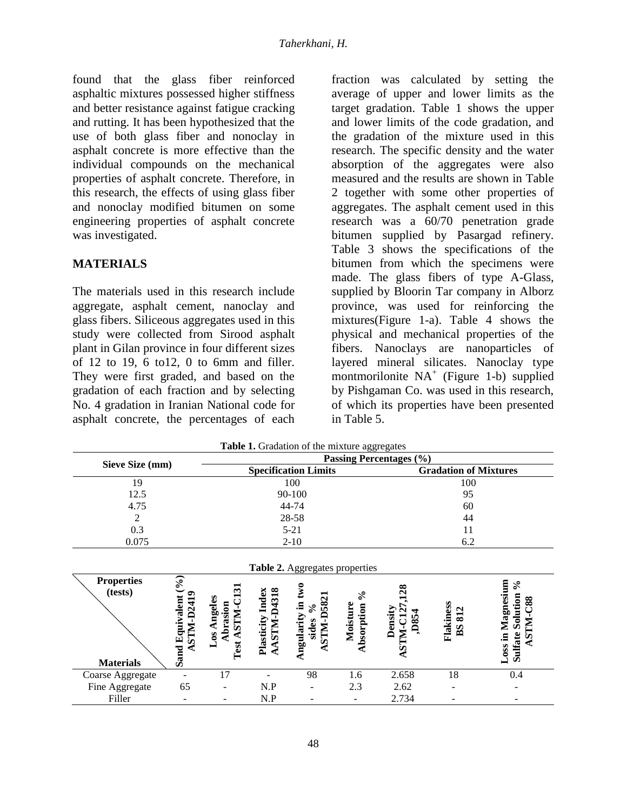found that the glass fiber reinforced asphaltic mixtures possessed higher stiffness and better resistance against fatigue cracking and rutting. It has been hypothesized that the use of both glass fiber and nonoclay in asphalt concrete is more effective than the individual compounds on the mechanical properties of asphalt concrete. Therefore, in this research, the effects of using glass fiber and nonoclay modified bitumen on some engineering properties of asphalt concrete was investigated.

## **MATERIALS**

The materials used in this research include aggregate, asphalt cement, nanoclay and glass fibers. Siliceous aggregates used in this study were collected from Sirood asphalt plant in Gilan province in four different sizes of 12 to 19, 6 to 12, 0 to 6mm and filler. They were first graded, and based on the gradation of each fraction and by selecting No. 4 gradation in Iranian National code for asphalt concrete, the percentages of each fraction was calculated by setting the average of upper and lower limits as the target gradation. Table 1 shows the upper and lower limits of the code gradation, and the gradation of the mixture used in this research. The specific density and the water absorption of the aggregates were also measured and the results are shown in Table 2 together with some other properties of aggregates. The asphalt cement used in this research was a 60/70 penetration grade bitumen supplied by Pasargad refinery. Table 3 shows the specifications of the bitumen from which the specimens were made. The glass fibers of type A-Glass, supplied by Bloorin Tar company in Alborz province, was used for reinforcing the mixtures(Figure 1-a). Table 4 shows the physical and mechanical properties of the fibers. Nanoclays are nanoparticles of layered mineral silicates. Nanoclay type montmorilonite NA<sup>+</sup> (Figure 1-b) supplied by Pishgaman Co. was used in this research, of which its properties have been presented in Table 5.

| Table 1. Gradation of the mixture aggregates     |                                                                        |                                                  |                                              |                                                                                                                                  |                                                   |                                         |                     |                                                           |
|--------------------------------------------------|------------------------------------------------------------------------|--------------------------------------------------|----------------------------------------------|----------------------------------------------------------------------------------------------------------------------------------|---------------------------------------------------|-----------------------------------------|---------------------|-----------------------------------------------------------|
|                                                  | Passing Percentages (%)                                                |                                                  |                                              |                                                                                                                                  |                                                   |                                         |                     |                                                           |
| Sieve Size (mm)                                  |                                                                        | <b>Specification Limits</b>                      |                                              |                                                                                                                                  |                                                   | <b>Gradation of Mixtures</b>            |                     |                                                           |
| 19                                               |                                                                        | 100                                              |                                              |                                                                                                                                  | 100                                               |                                         |                     |                                                           |
| 12.5                                             |                                                                        | 90-100                                           |                                              |                                                                                                                                  | 95                                                |                                         |                     |                                                           |
| 4.75                                             |                                                                        |                                                  |                                              | 44-74                                                                                                                            |                                                   | 60                                      |                     |                                                           |
| $\overline{2}$                                   |                                                                        | 28-58                                            |                                              |                                                                                                                                  |                                                   | 44                                      |                     |                                                           |
| 0.3                                              |                                                                        | $5 - 21$                                         |                                              |                                                                                                                                  | 11                                                |                                         |                     |                                                           |
| 0.075                                            |                                                                        | $2 - 10$                                         |                                              |                                                                                                                                  | 6.2                                               |                                         |                     |                                                           |
| <b>Properties</b><br>(tests)<br><b>Materials</b> | $\mathcal{S}_{\bullet}$<br><b>ASTM-D2419</b><br><b>Sand Equivalent</b> | Los Angeles<br><b>ASTM-C</b><br>Abrasion<br>Test | <b>ASTM-D4318</b><br><b>Plasticity Index</b> | <b>Table 2.</b> Aggregates properties<br>$_{\text{two}}$<br><b>STM-D582</b><br>Angularity in<br>$\mathcal{S}_{\bullet}$<br>sides | $\mathcal{S}_{\bullet}$<br>Moisture<br>Absorption | œ<br>Density<br><b>ASTM-C12</b><br>D854 | Flakiness<br>BS 812 | Loss in Magnesium<br>ని<br><b>Sulfate Solution</b><br>288 |
| Coarse Aggregate                                 |                                                                        | 17                                               |                                              | 98                                                                                                                               | 1.6                                               | 2.658                                   | 18                  | 0.4                                                       |
| Fine Aggregate                                   | 65                                                                     |                                                  | N.P                                          |                                                                                                                                  | 2.3                                               | 2.62                                    |                     |                                                           |
| Filler                                           |                                                                        |                                                  | N.P                                          |                                                                                                                                  |                                                   | 2.734                                   |                     |                                                           |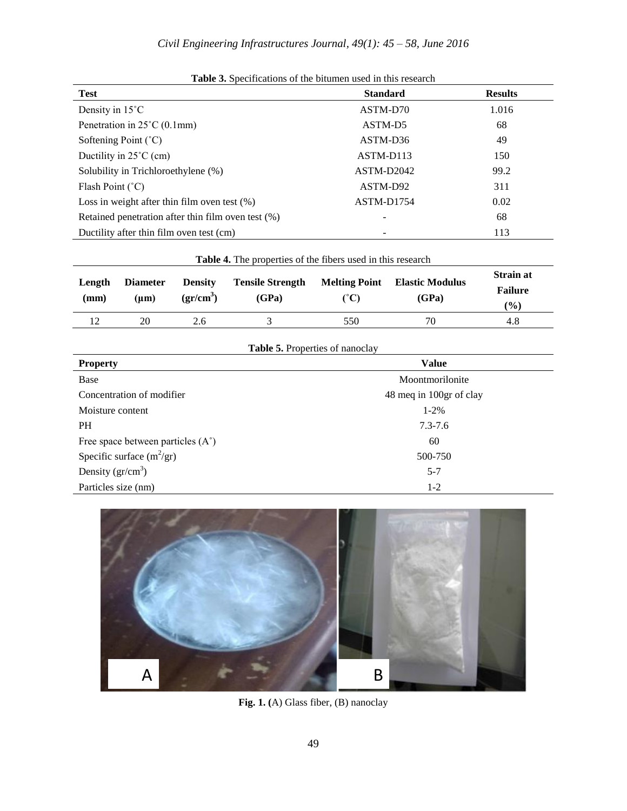| <b>Test</b>                                        | <b>Standard</b> | <b>Results</b> |
|----------------------------------------------------|-----------------|----------------|
| Density in $15^{\circ}$ C                          | ASTM-D70        | 1.016          |
| Penetration in $25^{\circ}$ C (0.1mm)              | ASTM-D5         | 68             |
| Softening Point $(^{\circ}C)$                      | ASTM-D36        | 49             |
| Ductility in $25^{\circ}$ C (cm)                   | ASTM-D113       | 150            |
| Solubility in Trichloroethylene (%)                | ASTM-D2042      | 99.2           |
| Flash Point $(^{\circ}C)$                          | ASTM-D92        | 311            |
| Loss in weight after thin film oven test $(\%)$    | ASTM-D1754      | 0.02           |
| Retained penetration after thin film oven test (%) | ۰               | 68             |
| Ductility after thin film oven test (cm)           |                 | 113            |

| <b>Table 4.</b> The properties of the fibers used in this research |                              |                             |                                  |                      |                                 |                                                     |
|--------------------------------------------------------------------|------------------------------|-----------------------------|----------------------------------|----------------------|---------------------------------|-----------------------------------------------------|
| Length<br>(mm)                                                     | <b>Diameter</b><br>$(\mu m)$ | <b>Density</b><br>$gr/cm^3$ | <b>Tensile Strength</b><br>(GPa) | <b>Melting Point</b> | <b>Elastic Modulus</b><br>(GPa) | <b>Strain at</b><br><b>Failure</b><br>$\frac{9}{6}$ |
| 12                                                                 | 20                           | 2.6                         |                                  | 550                  | 70                              | 4.8                                                 |

|  | <b>Table 5.</b> Properties of nanoclay |
|--|----------------------------------------|
|  |                                        |

| <b>Property</b>                            | <b>Value</b>            |
|--------------------------------------------|-------------------------|
| Base                                       | Moontmorilonite         |
| Concentration of modifier                  | 48 meq in 100gr of clay |
| Moisture content                           | $1 - 2\%$               |
| <b>PH</b>                                  | $7.3 - 7.6$             |
| Free space between particles $(A^{\circ})$ | 60                      |
| Specific surface $(m^2/gr)$                | 500-750                 |
| Density $(\text{gr/cm}^3)$                 | $5 - 7$                 |
| Particles size (nm)                        | $1-2$                   |



**Fig. 1. (**A) Glass fiber, (B) nanoclay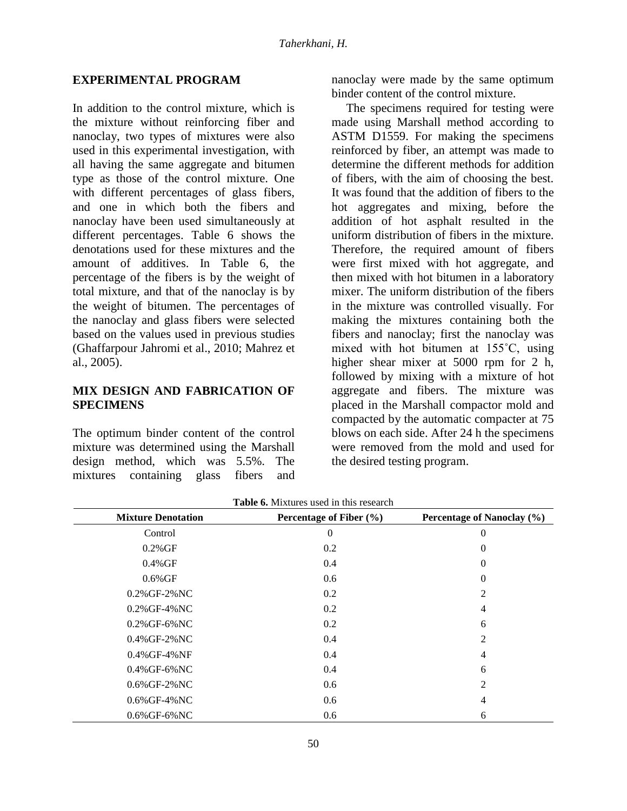#### **EXPERIMENTAL PROGRAM**

In addition to the control mixture, which is the mixture without reinforcing fiber and nanoclay, two types of mixtures were also used in this experimental investigation, with all having the same aggregate and bitumen type as those of the control mixture. One with different percentages of glass fibers, and one in which both the fibers and nanoclay have been used simultaneously at different percentages. Table 6 shows the denotations used for these mixtures and the amount of additives. In Table 6, the percentage of the fibers is by the weight of total mixture, and that of the nanoclay is by the weight of bitumen. The percentages of the nanoclay and glass fibers were selected based on the values used in previous studies (Ghaffarpour Jahromi et al., 2010; Mahrez et al., 2005).

### **MIX DESIGN AND FABRICATION OF SPECIMENS**

The optimum binder content of the control mixture was determined using the Marshall design method, which was 5.5%. The mixtures containing glass fibers and nanoclay were made by the same optimum binder content of the control mixture.

The specimens required for testing were made using Marshall method according to ASTM D1559. For making the specimens reinforced by fiber, an attempt was made to determine the different methods for addition of fibers, with the aim of choosing the best. It was found that the addition of fibers to the hot aggregates and mixing, before the addition of hot asphalt resulted in the uniform distribution of fibers in the mixture. Therefore, the required amount of fibers were first mixed with hot aggregate, and then mixed with hot bitumen in a laboratory mixer. The uniform distribution of the fibers in the mixture was controlled visually. For making the mixtures containing both the fibers and nanoclay; first the nanoclay was mixed with hot bitumen at 155˚C, using higher shear mixer at 5000 rpm for 2 h, followed by mixing with a mixture of hot aggregate and fibers. The mixture was placed in the Marshall compactor mold and compacted by the automatic compacter at 75 blows on each side. After 24 h the specimens were removed from the mold and used for the desired testing program.

| <b>Mixture Denotation</b> | Percentage of Fiber (%) | Percentage of Nanoclay (%) |
|---------------------------|-------------------------|----------------------------|
| Control                   | $\theta$                | 0                          |
| $0.2\%$ GF                | 0.2                     | $\overline{0}$             |
| $0.4\%$ GF                | 0.4                     | $\overline{0}$             |
| $0.6\%$ GF                | 0.6                     | $\theta$                   |
| $0.2\%$ GF-2%NC           | 0.2                     | 2                          |
| $0.2\%$ GF-4%NC           | 0.2                     | $\overline{4}$             |
| $0.2\%$ GF-6% NC          | 0.2                     | 6                          |
| $0.4\%$ GF-2% NC          | 0.4                     | 2                          |
| 0.4% GF-4% NF             | 0.4                     | $\overline{4}$             |
| $0.4\%$ GF-6% NC          | 0.4                     | 6                          |
| $0.6\%$ GF-2%NC           | 0.6                     | 2                          |
| $0.6\%$ GF-4%NC           | 0.6                     | 4                          |
| $0.6\%$ GF-6% NC          | 0.6                     | 6                          |

**Table 6.** Mixtures used in this research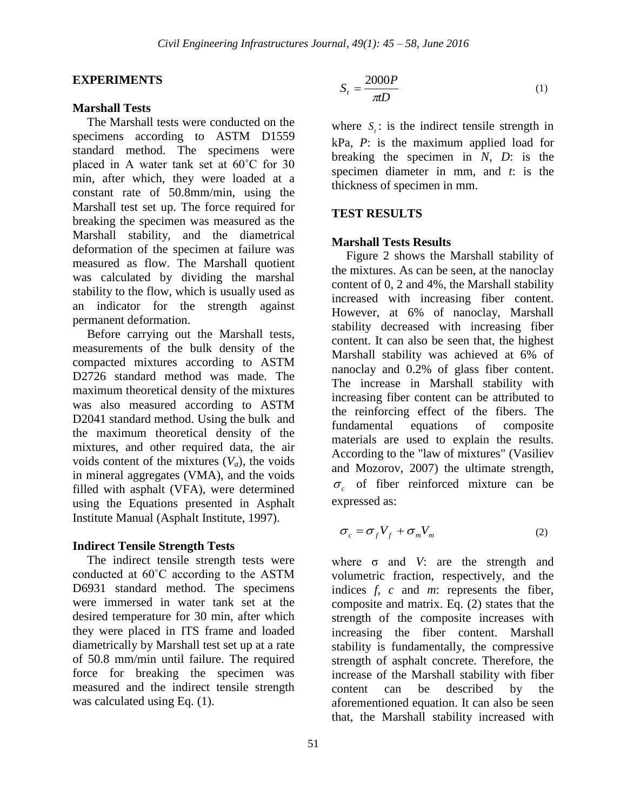#### **EXPERIMENTS**

#### **Marshall Tests**

The Marshall tests were conducted on the specimens according to ASTM D1559 standard method. The specimens were placed in A water tank set at 60˚C for 30 min, after which, they were loaded at a constant rate of 50.8mm/min, using the Marshall test set up. The force required for breaking the specimen was measured as the Marshall stability, and the diametrical deformation of the specimen at failure was measured as flow. The Marshall quotient was calculated by dividing the marshal stability to the flow, which is usually used as an indicator for the strength against permanent deformation.

Before carrying out the Marshall tests, measurements of the bulk density of the compacted mixtures according to ASTM D2726 standard method was made. The maximum theoretical density of the mixtures was also measured according to ASTM D2041 standard method. Using the bulk and the maximum theoretical density of the mixtures, and other required data, the air voids content of the mixtures  $(V_a)$ , the voids in mineral aggregates (VMA), and the voids filled with asphalt (VFA), were determined using the Equations presented in Asphalt Institute Manual (Asphalt Institute, 1997).

#### **Indirect Tensile Strength Tests**

The indirect tensile strength tests were conducted at 60˚C according to the ASTM D6931 standard method. The specimens were immersed in water tank set at the desired temperature for 30 min, after which they were placed in ITS frame and loaded diametrically by Marshall test set up at a rate of 50.8 mm/min until failure. The required force for breaking the specimen was measured and the indirect tensile strength was calculated using Eq.  $(1)$ .

$$
S_t = \frac{2000P}{\pi D} \tag{1}
$$

where  $S_t$ : is the indirect tensile strength in kPa, *P*: is the maximum applied load for breaking the specimen in *N*, *D*: is the specimen diameter in mm, and *t*: is the thickness of specimen in mm.

#### **TEST RESULTS**

#### **Marshall Tests Results**

Figure 2 shows the Marshall stability of the mixtures. As can be seen, at the nanoclay content of 0, 2 and 4%, the Marshall stability increased with increasing fiber content. However, at 6% of nanoclay, Marshall stability decreased with increasing fiber content. It can also be seen that, the highest Marshall stability was achieved at 6% of nanoclay and 0.2% of glass fiber content. The increase in Marshall stability with increasing fiber content can be attributed to the reinforcing effect of the fibers. The fundamental equations of composite materials are used to explain the results. According to the "law of mixtures" (Vasiliev and Mozorov, 2007) the ultimate strength,  $\sigma_c$  of fiber reinforced mixture can be expressed as:

$$
\sigma_c = \sigma_f V_f + \sigma_m V_m \tag{2}
$$

where σ and *V*: are the strength and volumetric fraction, respectively, and the indices *f, c* and *m*: represents the fiber, composite and matrix. Eq. (2) states that the strength of the composite increases with increasing the fiber content. Marshall stability is fundamentally, the compressive strength of asphalt concrete. Therefore, the increase of the Marshall stability with fiber content can be described by the aforementioned equation. It can also be seen that, the Marshall stability increased with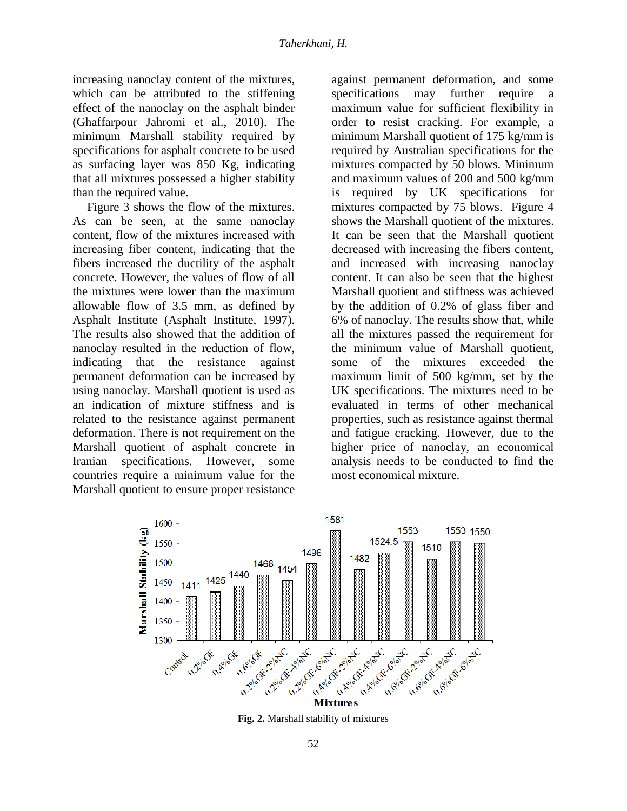increasing nanoclay content of the mixtures, which can be attributed to the stiffening effect of the nanoclay on the asphalt binder (Ghaffarpour Jahromi et al., 2010). The minimum Marshall stability required by specifications for asphalt concrete to be used as surfacing layer was 850 Kg, indicating that all mixtures possessed a higher stability than the required value.

Figure 3 shows the flow of the mixtures. As can be seen, at the same nanoclay content, flow of the mixtures increased with increasing fiber content, indicating that the fibers increased the ductility of the asphalt concrete. However, the values of flow of all the mixtures were lower than the maximum allowable flow of 3.5 mm, as defined by Asphalt Institute (Asphalt Institute, 1997). The results also showed that the addition of nanoclay resulted in the reduction of flow, indicating that the resistance against permanent deformation can be increased by using nanoclay. Marshall quotient is used as an indication of mixture stiffness and is related to the resistance against permanent deformation. There is not requirement on the Marshall quotient of asphalt concrete in Iranian specifications. However, some countries require a minimum value for the Marshall quotient to ensure proper resistance

against permanent deformation, and some specifications may further require a maximum value for sufficient flexibility in order to resist cracking. For example, a minimum Marshall quotient of 175 kg/mm is required by Australian specifications for the mixtures compacted by 50 blows. Minimum and maximum values of 200 and 500 kg/mm is required by UK specifications for mixtures compacted by 75 blows. Figure 4 shows the Marshall quotient of the mixtures. It can be seen that the Marshall quotient decreased with increasing the fibers content, and increased with increasing nanoclay content. It can also be seen that the highest Marshall quotient and stiffness was achieved by the addition of 0.2% of glass fiber and 6% of nanoclay. The results show that, while all the mixtures passed the requirement for the minimum value of Marshall quotient, some of the mixtures exceeded the maximum limit of 500 kg/mm, set by the UK specifications. The mixtures need to be evaluated in terms of other mechanical properties, such as resistance against thermal and fatigue cracking. However, due to the higher price of nanoclay, an economical analysis needs to be conducted to find the most economical mixture.



**Fig. 2.** Marshall stability of mixtures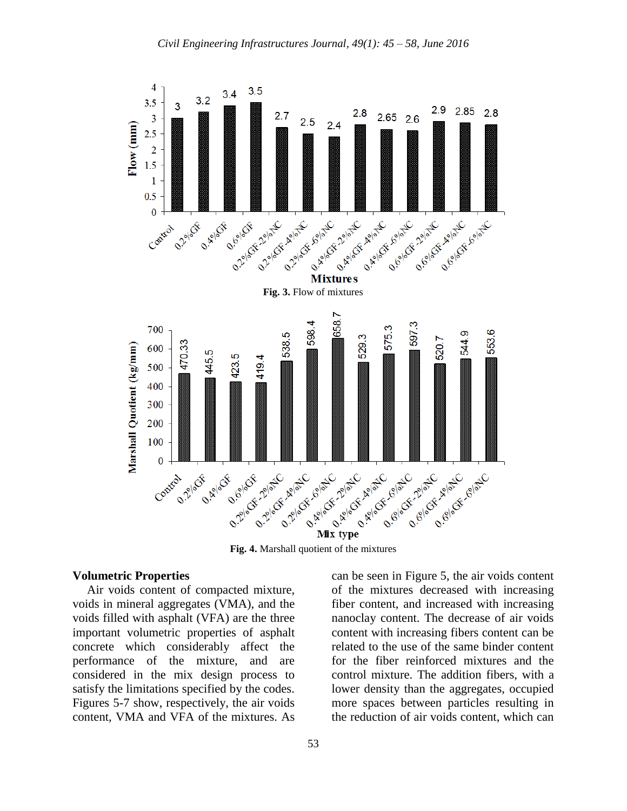

**Fig. 4.** Marshall quotient of the mixtures

#### **Volumetric Properties**

Air voids content of compacted mixture, voids in mineral aggregates (VMA), and the voids filled with asphalt (VFA) are the three important volumetric properties of asphalt concrete which considerably affect the performance of the mixture, and are considered in the mix design process to satisfy the limitations specified by the codes. Figures 5-7 show, respectively, the air voids content, VMA and VFA of the mixtures. As can be seen in Figure 5, the air voids content of the mixtures decreased with increasing fiber content, and increased with increasing nanoclay content. The decrease of air voids content with increasing fibers content can be related to the use of the same binder content for the fiber reinforced mixtures and the control mixture. The addition fibers, with a lower density than the aggregates, occupied more spaces between particles resulting in the reduction of air voids content, which can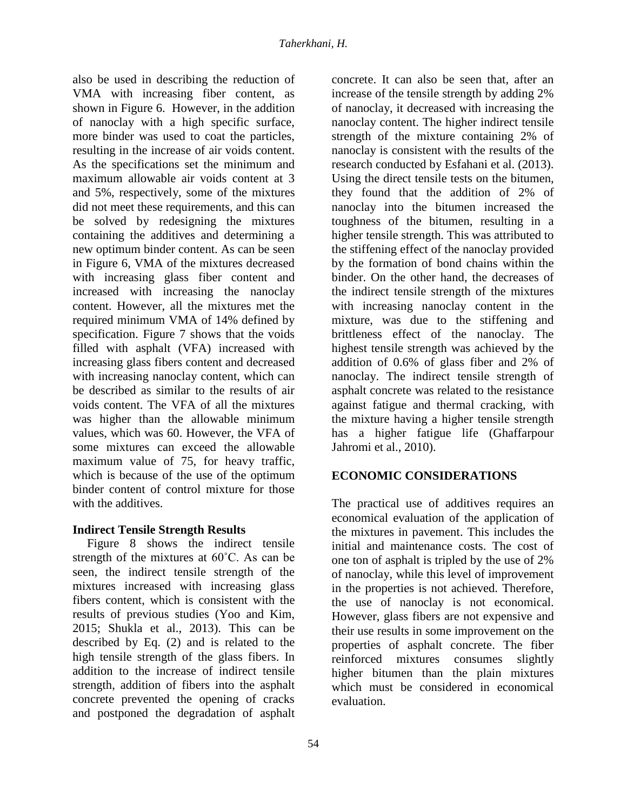also be used in describing the reduction of VMA with increasing fiber content, as shown in Figure 6. However, in the addition of nanoclay with a high specific surface, more binder was used to coat the particles, resulting in the increase of air voids content. As the specifications set the minimum and maximum allowable air voids content at 3 and 5%, respectively, some of the mixtures did not meet these requirements, and this can be solved by redesigning the mixtures containing the additives and determining a new optimum binder content. As can be seen in Figure 6, VMA of the mixtures decreased with increasing glass fiber content and increased with increasing the nanoclay content. However, all the mixtures met the required minimum VMA of 14% defined by specification. Figure 7 shows that the voids filled with asphalt (VFA) increased with increasing glass fibers content and decreased with increasing nanoclay content, which can be described as similar to the results of air voids content. The VFA of all the mixtures was higher than the allowable minimum values, which was 60. However, the VFA of some mixtures can exceed the allowable maximum value of 75, for heavy traffic, which is because of the use of the optimum binder content of control mixture for those with the additives.

## **Indirect Tensile Strength Results**

Figure 8 shows the indirect tensile strength of the mixtures at 60˚C. As can be seen, the indirect tensile strength of the mixtures increased with increasing glass fibers content, which is consistent with the results of previous studies (Yoo and Kim, 2015; Shukla et al., 2013). This can be described by Eq. (2) and is related to the high tensile strength of the glass fibers. In addition to the increase of indirect tensile strength, addition of fibers into the asphalt concrete prevented the opening of cracks and postponed the degradation of asphalt concrete. It can also be seen that, after an increase of the tensile strength by adding 2% of nanoclay, it decreased with increasing the nanoclay content. The higher indirect tensile strength of the mixture containing 2% of nanoclay is consistent with the results of the research conducted by Esfahani et al. (2013). Using the direct tensile tests on the bitumen, they found that the addition of 2% of nanoclay into the bitumen increased the toughness of the bitumen, resulting in a higher tensile strength. This was attributed to the stiffening effect of the nanoclay provided by the formation of bond chains within the binder. On the other hand, the decreases of the indirect tensile strength of the mixtures with increasing nanoclay content in the mixture, was due to the stiffening and brittleness effect of the nanoclay. The highest tensile strength was achieved by the addition of 0.6% of glass fiber and 2% of nanoclay. The indirect tensile strength of asphalt concrete was related to the resistance against fatigue and thermal cracking, with the mixture having a higher tensile strength has a higher fatigue life (Ghaffarpour Jahromi et al., 2010).

# **ECONOMIC CONSIDERATIONS**

The practical use of additives requires an economical evaluation of the application of the mixtures in pavement. This includes the initial and maintenance costs. The cost of one ton of asphalt is tripled by the use of 2% of nanoclay, while this level of improvement in the properties is not achieved. Therefore, the use of nanoclay is not economical. However, glass fibers are not expensive and their use results in some improvement on the properties of asphalt concrete. The fiber reinforced mixtures consumes slightly higher bitumen than the plain mixtures which must be considered in economical evaluation.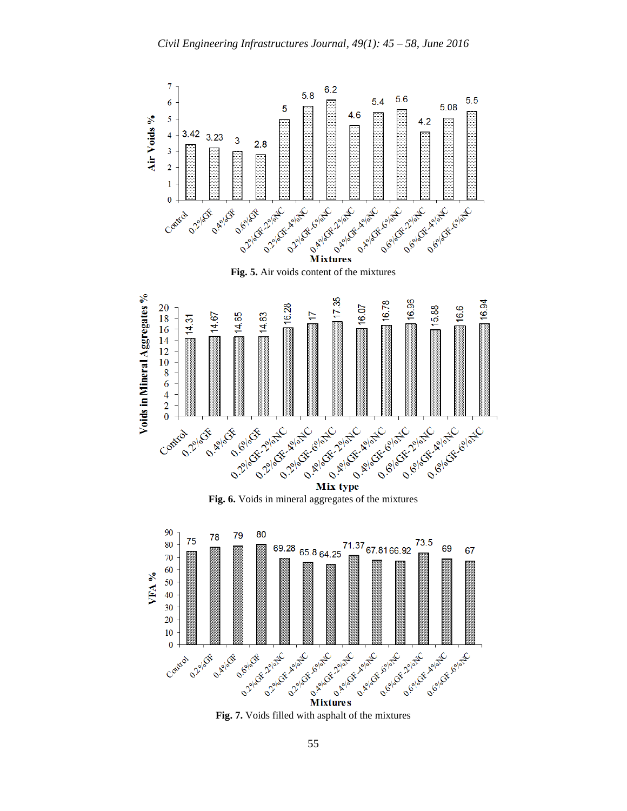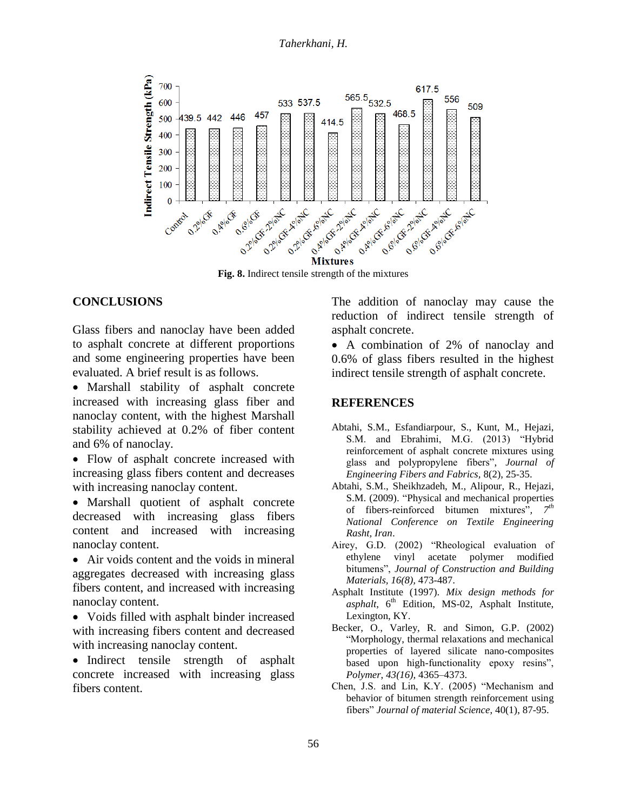

**Fig. 8.** Indirect tensile strength of the mixtures

### **CONCLUSIONS**

Glass fibers and nanoclay have been added to asphalt concrete at different proportions and some engineering properties have been evaluated. A brief result is as follows.

- Marshall stability of asphalt concrete increased with increasing glass fiber and nanoclay content, with the highest Marshall stability achieved at 0.2% of fiber content and 6% of nanoclay.
- Flow of asphalt concrete increased with increasing glass fibers content and decreases with increasing nanoclay content.
- Marshall quotient of asphalt concrete decreased with increasing glass fibers content and increased with increasing nanoclay content.
- Air voids content and the voids in mineral aggregates decreased with increasing glass fibers content, and increased with increasing nanoclay content.
- Voids filled with asphalt binder increased with increasing fibers content and decreased with increasing nanoclay content.
- Indirect tensile strength of asphalt concrete increased with increasing glass fibers content.

The addition of nanoclay may cause the reduction of indirect tensile strength of asphalt concrete.

• A combination of 2% of nanoclay and 0.6% of glass fibers resulted in the highest indirect tensile strength of asphalt concrete.

#### **REFERENCES**

- Abtahi, S.M., Esfandiarpour, S., Kunt, M., Hejazi, S.M. and Ebrahimi, M.G. (2013) "Hybrid reinforcement of asphalt concrete mixtures using glass and polypropylene fibers", *Journal of Engineering Fibers and Fabrics,* 8(2), 25-35.
- Abtahi, S.M., Sheikhzadeh, M., Alipour, R., Hejazi, S.M. (2009). "Physical and mechanical properties of fibers-reinforced bitumen mixtures"*, 7th National Conference on Textile Engineering Rasht, Iran*.
- Airey, G.D. (2002) "Rheological evaluation of ethylene vinyl acetate polymer modified bitumens", *Journal of Construction and Building Materials, 16(8),* 473-487.
- Asphalt Institute (1997). *Mix design methods for*   $a$ *sphalt*,  $6<sup>th</sup>$  Edition, MS-02, Asphalt Institute, Lexington, KY.
- Becker, O., Varley, R. and Simon, G.P. (2002) "Morphology, thermal relaxations and mechanical properties of layered silicate nano-composites based upon high-functionality epoxy resins", *Polymer*, *43(16),* 4365–4373.
- Chen, J.S. and Lin, K.Y. (2005) "Mechanism and behavior of bitumen strength reinforcement using fibers" *Journal of material Science*, 40(1), 87-95.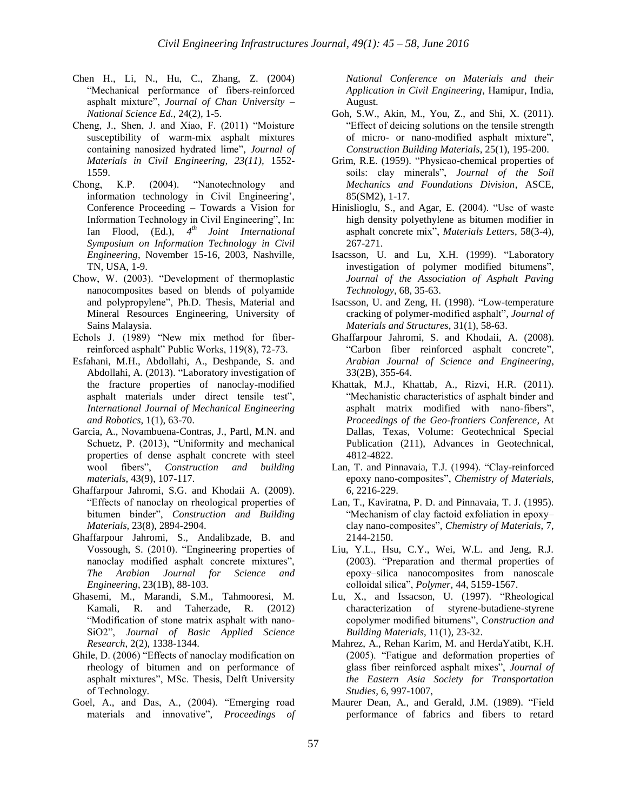- Chen H., Li, N., Hu, C., Zhang, Z. (2004) "Mechanical performance of fibers-reinforced asphalt mixture", *Journal of Chan University – National Science Ed.*, 24(2), 1-5.
- Cheng, J., Shen, J. and Xiao, F. (2011) "Moisture susceptibility of warm-mix asphalt mixtures containing nanosized hydrated lime"*, Journal of Materials in Civil Engineering, 23(11),* 1552- 1559.
- Chong, K.P. (2004). "Nanotechnology and information technology in Civil Engineering', Conference Proceeding – Towards a Vision for Information Technology in Civil Engineering", In: Ian Flood, (Ed.), *4 th Joint International Symposium on Information Technology in Civil Engineering*, November 15-16, 2003, Nashville, TN, USA, 1-9.
- Chow, W. (2003). "Development of thermoplastic nanocomposites based on blends of polyamide and polypropylene", Ph.D. Thesis, Material and Mineral Resources Engineering, University of Sains Malaysia.
- Echols J. (1989) "New mix method for fiberreinforced asphalt" Public Works, 119(8), 72-73.
- Esfahani, M.H., Abdollahi, A., Deshpande, S. and Abdollahi, A. (2013). "Laboratory investigation of the fracture properties of nanoclay-modified asphalt materials under direct tensile test", *International Journal of Mechanical Engineering and Robotics*, 1(1), 63-70.
- Garcia, A., Novambuena-Contras, J., Partl, M.N. and Schuetz, P. (2013), "Uniformity and mechanical properties of dense asphalt concrete with steel wool fibers", *Construction and building materials*, 43(9), 107-117.
- Ghaffarpour Jahromi, S.G. and Khodaii A. (2009). "Effects of nanoclay on rheological properties of bitumen binder", *Construction and Building Materials*, 23(8), 2894-2904.
- Ghaffarpour Jahromi, S., Andalibzade, B. and Vossough, S. (2010). "Engineering properties of nanoclay modified asphalt concrete mixtures", *The Arabian Journal for Science and Engineering*, 23(1B), 88-103.
- Ghasemi, M., Marandi, S.M., Tahmooresi, M. Kamali, R. and Taherzade, R. (2012) "Modification of stone matrix asphalt with nano-SiO2", *Journal of Basic Applied Science Research*, 2(2), 1338-1344.
- Ghile, D. (2006) "Effects of nanoclay modification on rheology of bitumen and on performance of asphalt mixtures", MSc. Thesis, Delft University of Technology.
- Goel, A., and Das, A., (2004). "Emerging road materials and innovative", *Proceedings of*

*National Conference on Materials and their Application in Civil Engineering*, Hamipur, India, August.

- Goh, S.W., Akin, M., You, Z., and Shi, X. (2011). "Effect of deicing solutions on the tensile strength of micro- or nano-modified asphalt mixture", *Construction Building Materials*, 25(1), 195-200.
- Grim, R.E. (1959). "Physicao-chemical properties of soils: clay minerals", *Journal of the Soil Mechanics and Foundations Division*, ASCE, 85(SM2), 1-17.
- Hinislioglu, S., and Agar, E. (2004). "Use of waste high density polyethylene as bitumen modifier in asphalt concrete mix", *Materials Letters*, 58(3-4), 267-271.
- Isacsson, U. and Lu, X.H. (1999). "Laboratory investigation of polymer modified bitumens", *Journal of the Association of Asphalt Paving Technology*, 68, 35-63.
- Isacsson, U. and Zeng, H. (1998). "Low-temperature cracking of polymer-modified asphalt", *Journal of Materials and Structures*, 31(1), 58-63.
- Ghaffarpour Jahromi, S. and Khodaii, A. (2008). "Carbon fiber reinforced asphalt concrete", *Arabian Journal of Science and Engineering*, 33(2B), 355-64.
- Khattak, M.J., Khattab, A., Rizvi, H.R. (2011). "Mechanistic characteristics of asphalt binder and asphalt matrix modified with nano-fibers", *Proceedings of the Geo-frontiers Conference*, At Dallas, Texas, Volume: Geotechnical Special Publication (211), Advances in Geotechnical, 4812-4822.
- Lan, T. and Pinnavaia, T.J. (1994). "Clay-reinforced epoxy nano-composites", *Chemistry of Materials*, 6, 2216-229.
- Lan, T., Kaviratna, P. D. and Pinnavaia, T. J. (1995). "Mechanism of clay factoid exfoliation in epoxy– clay nano-composites", *Chemistry of Materials*, 7, 2144-2150.
- Liu, Y.L., Hsu, C.Y., Wei, W.L. and Jeng, R.J. (2003). "Preparation and thermal properties of epoxy–silica nanocomposites from nanoscale colloidal silica", *Polymer*, 44, 5159-1567.
- Lu, X., and Issacson, U. (1997). "Rheological characterization of styrene-butadiene-styrene copolymer modified bitumens", C*onstruction and Building Materials*, 11(1), 23-32.
- Mahrez, A., Rehan Karim, M. and HerdaYatibt, K.H. (2005). "Fatigue and deformation properties of glass fiber reinforced asphalt mixes", *Journal of the Eastern Asia Society for Transportation Studies,* 6, 997-1007,
- Maurer Dean, A., and Gerald, J.M. (1989). "Field performance of fabrics and fibers to retard